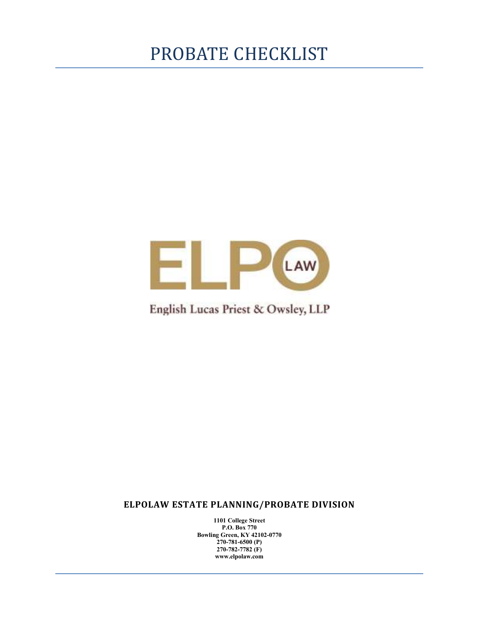## PROBATE CHECKLIST



### English Lucas Priest & Owsley, LLP

**ELPOLAW ESTATE PLANNING/PROBATE DIVISION** 

**1101 College Street P.O. Box 770 Bowling Green, KY 42102-0770 270-781-6500 (P) 270-782-7782 (F) www.elpolaw.com**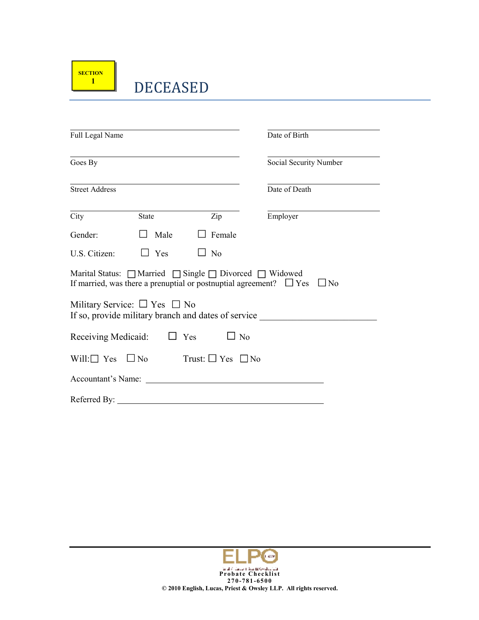### DECEASED

| Full Legal Name       |                                                                             |                          | Date of Birth                                                                     |
|-----------------------|-----------------------------------------------------------------------------|--------------------------|-----------------------------------------------------------------------------------|
| Goes By               |                                                                             |                          | Social Security Number                                                            |
| <b>Street Address</b> |                                                                             |                          | Date of Death                                                                     |
| City                  | <b>State</b>                                                                | Zip                      | Employer                                                                          |
| Gender:               | Male                                                                        | Female                   |                                                                                   |
| U.S. Citizen:         | $\Box$ Yes                                                                  | N <sub>o</sub><br>$\Box$ |                                                                                   |
|                       | Marital Status: $\Box$ Married $\Box$ Single $\Box$ Divorced $\Box$ Widowed |                          | If married, was there a prenuptial or postnuptial agreement? $\Box$ Yes $\Box$ No |
|                       | Military Service: $\Box$ Yes $\Box$ No                                      |                          | If so, provide military branch and dates of service                               |
|                       | Receiving Medicaid: $\square$ Yes                                           | $\Box$ No                |                                                                                   |
|                       | $Will: \square$ Yes $\square$ No Trust: $\square$ Yes $\square$ No          |                          |                                                                                   |
|                       | Accountant's Name:                                                          |                          |                                                                                   |
|                       | Referred By:                                                                |                          |                                                                                   |

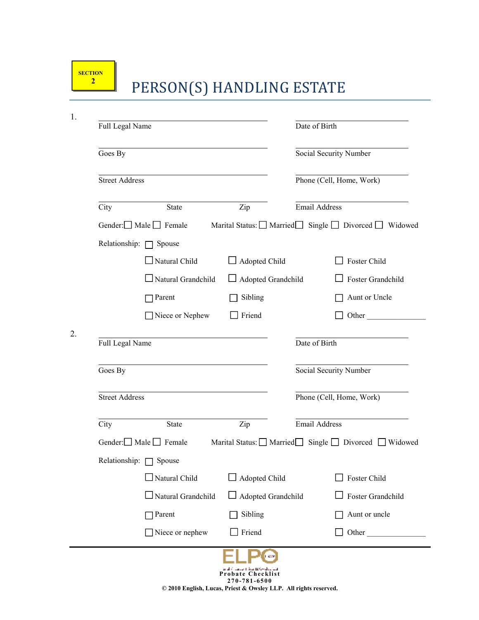## **PERSON(S) HANDLING ESTATE**

| Full Legal Name       |                                   |                           | Date of Birth |                                                       |
|-----------------------|-----------------------------------|---------------------------|---------------|-------------------------------------------------------|
| Goes By               |                                   |                           |               | Social Security Number                                |
| <b>Street Address</b> |                                   |                           |               | Phone (Cell, Home, Work)                              |
| City                  | <b>State</b>                      | Zip                       |               | <b>Email Address</b>                                  |
|                       | Gender: $\Box$ Male $\Box$ Female |                           |               | Marital Status: □ Married Single □ Divorced □ Widowed |
|                       | Relationship: $\Box$ Spouse       |                           |               |                                                       |
|                       | Natural Child                     | Adopted Child             |               | Foster Child                                          |
|                       | $\Box$ Natural Grandchild         | $\Box$ Adopted Grandchild |               | $\Box$ Foster Grandchild                              |
|                       | $\Box$ Parent                     | Sibling                   |               | Aunt or Uncle                                         |
|                       | Niece or Nephew                   | Friend                    |               | Other                                                 |
| Full Legal Name       |                                   |                           | Date of Birth |                                                       |
| Goes By               |                                   |                           |               | Social Security Number                                |
| <b>Street Address</b> |                                   |                           |               | Phone (Cell, Home, Work)                              |
| City                  | State                             | Zip                       |               | <b>Email Address</b>                                  |
|                       | Gender: $\Box$ Male $\Box$ Female |                           |               | Marital Status: □ Married Single □ Divorced □ Widowed |
|                       | Relationship: <u>J</u> Spouse     |                           |               |                                                       |
|                       | $\Box$ Natural Child              | Adopted Child             |               | Foster Child                                          |
|                       | $\Box$ Natural Grandchild         | Adopted Grandchild        |               | Foster Grandchild                                     |
|                       | $\Box$ Parent                     | Sibling                   |               | Aunt or uncle                                         |
|                       | $\Box$ Niece or nephew            | Friend                    |               | Other                                                 |
|                       |                                   | Probate Checklist         |               |                                                       |

**2 7 0 -7 8 1 -65 0 0 © 2010 English, Lucas, Priest & Owsley LLP. All rights reserved.**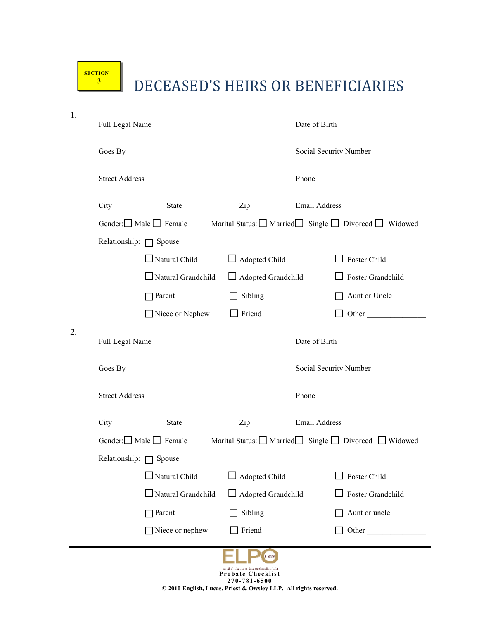### **DECEASED'S HEIRS OR BENEFICIARIES**

| Full Legal Name       |                                   |                           | Date of Birth                                         |
|-----------------------|-----------------------------------|---------------------------|-------------------------------------------------------|
| Goes By               |                                   |                           | Social Security Number                                |
| <b>Street Address</b> |                                   |                           | Phone                                                 |
| City                  | <b>State</b>                      | Zip                       | <b>Email Address</b>                                  |
|                       | Gender: Male Female               |                           | Marital Status: Married Single Divorced Widowed       |
|                       | Relationship: $\Box$ Spouse       |                           |                                                       |
|                       | $\Box$ Natural Child              | $\Box$ Adopted Child      | Foster Child                                          |
|                       | $\Box$ Natural Grandchild         | Adopted Grandchild        | Foster Grandchild                                     |
|                       | $\Box$ Parent                     | Sibling                   | Aunt or Uncle                                         |
|                       | Niece or Nephew                   | $\Box$ Friend             | Other                                                 |
| Full Legal Name       |                                   |                           | Date of Birth                                         |
| Goes By               |                                   |                           | Social Security Number                                |
| <b>Street Address</b> |                                   |                           | Phone                                                 |
| City                  | <b>State</b>                      | Zip                       | Email Address                                         |
|                       | Gender: $\Box$ Male $\Box$ Female |                           | Marital Status: ■ Married Single ■ Divorced ■ Widowed |
|                       | Relationship: <u>Spouse</u>       |                           |                                                       |
|                       | $\Box$ Natural Child              | Adopted Child             | Foster Child                                          |
|                       | $\Box$ Natural Grandchild         | $\Box$ Adopted Grandchild | Foster Grandchild                                     |
|                       | $\Box$ Parent                     | Sibling                   | Aunt or uncle                                         |
|                       | $\Box$ Niece or nephew            | Friend                    | Other                                                 |
|                       |                                   | ), aw                     |                                                       |

**© 2010 English, Lucas, Priest & Owsley LLP. All rights reserved.**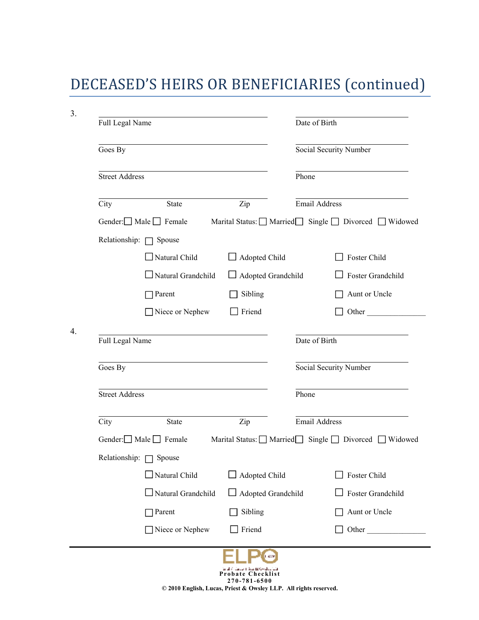# DECEASED'S HEIRS OR BENEFICIARIES (continued)

| Goes By               |                                   |                           | Social Security Number                          |
|-----------------------|-----------------------------------|---------------------------|-------------------------------------------------|
| Street Address        |                                   |                           | Phone                                           |
| City                  | <b>State</b>                      | Zip                       | <b>Email Address</b>                            |
|                       | Gender: $\Box$ Male $\Box$ Female |                           | Marital Status: Married Single Divorced Widowed |
|                       | Relationship: $\Box$ Spouse       |                           |                                                 |
|                       | $\Box$ Natural Child              | $\Box$ Adopted Child      | $\Box$ Foster Child                             |
|                       | $\Box$ Natural Grandchild         | Adopted Grandchild        | Foster Grandchild                               |
|                       | Parent                            | Sibling                   | Aunt or Uncle                                   |
|                       | $\Box$ Niece or Nephew            | Friend                    | Other                                           |
| Goes By               |                                   |                           | Social Security Number                          |
|                       |                                   | Phone                     |                                                 |
| <b>Street Address</b> |                                   |                           |                                                 |
|                       |                                   |                           |                                                 |
| City                  | <b>State</b>                      | Zip                       | Email Address                                   |
|                       | Gender: $\Box$ Male $\Box$ Female |                           | Marital Status: Married Single Divorced Widowed |
|                       | Relationship: Spouse              |                           |                                                 |
|                       | $\Box$ Natural Child              | Adopted Child             | Foster Child                                    |
|                       | Natural Grandchild                | $\Box$ Adopted Grandchild |                                                 |
|                       | Parent                            | Sibling                   | Foster Grandchild<br>Aunt or Uncle              |
|                       | Niece or Nephew                   | Friend                    | Other                                           |

**2 7 0 -7 8 1 -65 0 0 © 2010 English, Lucas, Priest & Owsley LLP. All rights reserved.**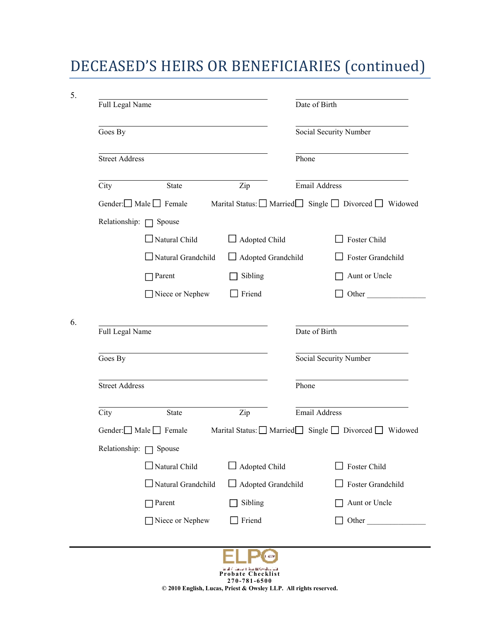## DECEASED'S HEIRS OR BENEFICIARIES (continued)

| Full Legal Name            |                                   |                           | Date of Birth                                         |
|----------------------------|-----------------------------------|---------------------------|-------------------------------------------------------|
| Goes By                    |                                   |                           | Social Security Number                                |
| <b>Street Address</b>      |                                   |                           | Phone                                                 |
| City                       | <b>State</b>                      | Zip                       | Email Address                                         |
|                            | Gender: Male Female               |                           | Marital Status: □ Married Single □ Divorced □ Widowed |
|                            | Relationship: $\Box$ Spouse       |                           |                                                       |
|                            | $\Box$ Natural Child              | $\Box$ Adopted Child      | Foster Child                                          |
|                            | $\Box$ Natural Grandchild         | $\Box$ Adopted Grandchild | $\Box$ Foster Grandchild                              |
|                            | $\Box$ Parent                     | Sibling                   | Aunt or Uncle                                         |
|                            |                                   |                           |                                                       |
|                            | Niece or Nephew                   | Friend                    | Date of Birth                                         |
| Full Legal Name<br>Goes By |                                   |                           | Other<br>Social Security Number                       |
| <b>Street Address</b>      |                                   |                           | Phone                                                 |
| City                       | <b>State</b>                      | Zip                       | Email Address                                         |
|                            | Gender: $\Box$ Male $\Box$ Female |                           | Marital Status: □ Married Single □ Divorced □ Widowed |
| Relationship:              | Spouse                            |                           |                                                       |
|                            | Natural Child                     | Adopted Child             | Foster Child                                          |
|                            | Natural Grandchild                | Adopted Grandchild        | Foster Grandchild                                     |
|                            | Parent                            | Sibling                   | Aunt or Uncle                                         |

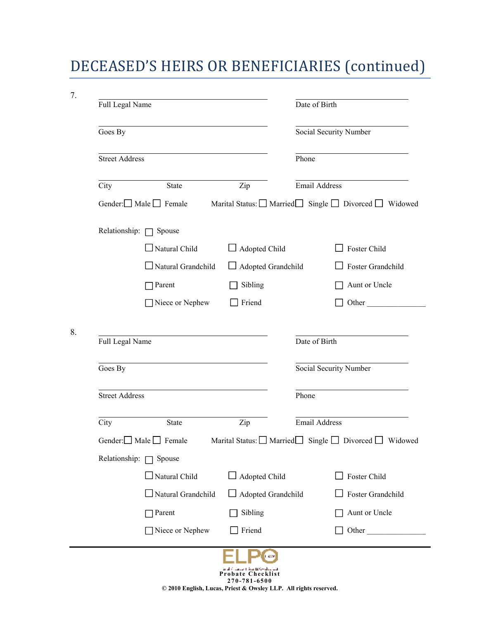# DECEASED'S HEIRS OR BENEFICIARIES (continued)

| Full Legal Name            |                                   |                      | Date of Birth                                                          |
|----------------------------|-----------------------------------|----------------------|------------------------------------------------------------------------|
| Goes By                    |                                   |                      | Social Security Number                                                 |
| Street Address             |                                   |                      | Phone                                                                  |
| City                       | State                             | Zip                  | Email Address                                                          |
|                            | Gender: $\Box$ Male $\Box$ Female |                      | Marital Status: □ Married Single □ Divorced □ Widowed                  |
|                            | Relationship: $\Box$ Spouse       |                      |                                                                        |
|                            | $\Box$ Natural Child              | $\Box$ Adopted Child | Foster Child                                                           |
|                            | $\Box$ Natural Grandchild         | Adopted Grandchild   | Foster Grandchild                                                      |
|                            | $\Box$ Parent                     | Sibling              | Aunt or Uncle                                                          |
|                            |                                   |                      |                                                                        |
|                            | Niece or Nephew                   | Friend               | Date of Birth                                                          |
| Full Legal Name<br>Goes By |                                   |                      | Social Security Number                                                 |
| <b>Street Address</b>      |                                   |                      | $\Box$ Other<br>Phone                                                  |
| City                       | <b>State</b>                      | Zip                  | <b>Email Address</b>                                                   |
|                            | Gender: $\Box$ Male $\Box$ Female |                      |                                                                        |
| Relationship: $\Box$       | Spouse                            |                      |                                                                        |
|                            | Natural Child                     | Adopted Child        | Foster Child                                                           |
|                            | $\Box$ Natural Grandchild         | Adopted Grandchild   | Foster Grandchild                                                      |
|                            | $\Box$ Parent                     | Sibling              | Marital Status: ■ Married Single ■ Divorced ■ Widowed<br>Aunt or Uncle |

**© 2010 English, Lucas, Priest & Owsley LLP. All rights reserved.**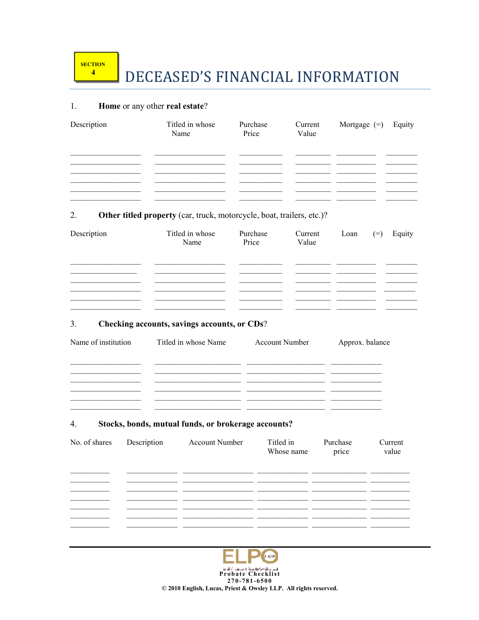### DECEASED'S FINANCIAL INFORMATION

#### Home or any other real estate?  $1.$

| Description | Titled in whose<br>Name | Purchase<br>Price | Current<br>Value | Mortgage $(=)$ Equity |  |
|-------------|-------------------------|-------------------|------------------|-----------------------|--|
|             |                         |                   |                  |                       |  |
|             |                         |                   |                  |                       |  |
|             |                         |                   |                  |                       |  |

#### Other titled property (car, truck, motorcycle, boat, trailers, etc.)?  $2.$

| Description | Titled in whose<br>Name | Purchase<br>Price | Current<br>Value | Loan | $(=)$ | Equity |
|-------------|-------------------------|-------------------|------------------|------|-------|--------|
|             |                         |                   |                  |      |       |        |
|             |                         |                   |                  |      |       |        |
|             |                         |                   |                  |      |       |        |

#### $3.$ Checking accounts, savings accounts, or CDs?

| Name of institution | Titled in whose Name | <b>Account Number</b> | Approx. balance |
|---------------------|----------------------|-----------------------|-----------------|
|                     |                      |                       |                 |
|                     |                      |                       |                 |
|                     |                      |                       |                 |
|                     |                      |                       |                 |

#### $4.$ Stocks, bonds, mutual funds, or brokerage accounts?

| No. of shares | Description | <b>Account Number</b> | Titled in<br>Whose name | Purchase<br>price | Current<br>value |
|---------------|-------------|-----------------------|-------------------------|-------------------|------------------|
|               |             |                       |                         |                   |                  |
|               |             |                       |                         |                   |                  |
|               |             |                       |                         |                   |                  |
|               |             |                       |                         |                   |                  |
|               |             |                       |                         |                   |                  |



© 2010 English, Lucas, Priest & Owsley LLP. All rights reserved.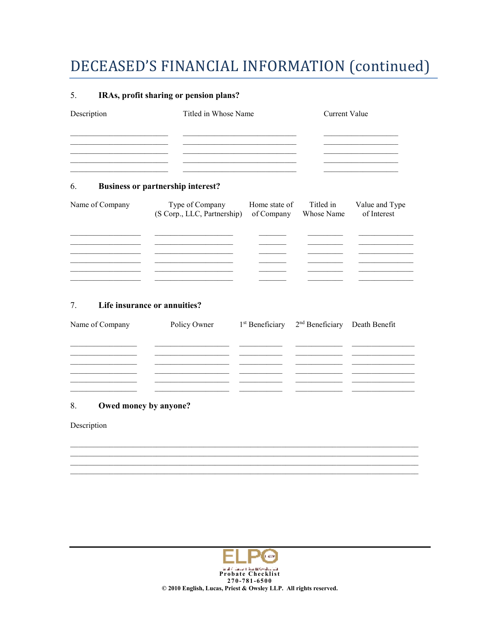### DECEASED'S FINANCIAL INFORMATION (continued)

#### 5. IRAs, profit sharing or pension plans?

| Description | Titled in Whose Name | Current Value |
|-------------|----------------------|---------------|
|             |                      |               |
|             |                      |               |
|             |                      |               |

#### 6. **Business or partnership interest?**

| Name of Company | Type of Company<br>(S Corp., LLC, Partnership) | Home state of<br>of Company | Titled in<br>Whose Name | Value and Type<br>of Interest |
|-----------------|------------------------------------------------|-----------------------------|-------------------------|-------------------------------|
|                 |                                                |                             |                         |                               |
|                 |                                                |                             |                         |                               |
|                 |                                                |                             |                         |                               |
|                 |                                                |                             |                         |                               |

#### $7.$ Life insurance or annuities?

| Name of Company | Policy Owner | $1st$ Beneficiary $2nd$ Beneficiary Death Benefit |  |
|-----------------|--------------|---------------------------------------------------|--|
|                 |              |                                                   |  |
|                 |              |                                                   |  |
|                 |              |                                                   |  |
|                 |              |                                                   |  |

#### 8. Owed money by anyone?

### Description

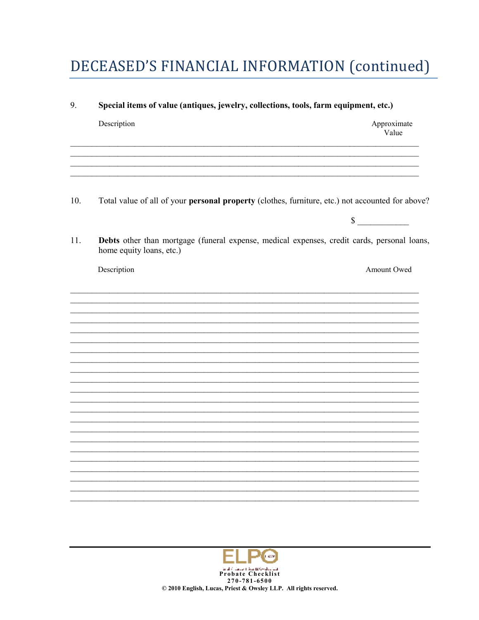## DECEASED'S FINANCIAL INFORMATION (continued)

| 9.  | Special items of value (antiques, jewelry, collections, tools, farm equipment, etc.)                                    |                      |  |  |  |  |
|-----|-------------------------------------------------------------------------------------------------------------------------|----------------------|--|--|--|--|
|     | Description                                                                                                             | Approximate<br>Value |  |  |  |  |
|     |                                                                                                                         |                      |  |  |  |  |
| 10. | Total value of all of your personal property (clothes, furniture, etc.) not accounted for above?                        |                      |  |  |  |  |
|     |                                                                                                                         | $\sim$               |  |  |  |  |
| 11. | Debts other than mortgage (funeral expense, medical expenses, credit cards, personal loans,<br>home equity loans, etc.) |                      |  |  |  |  |
|     | Description                                                                                                             | Amount Owed          |  |  |  |  |
|     |                                                                                                                         |                      |  |  |  |  |
|     |                                                                                                                         |                      |  |  |  |  |
|     |                                                                                                                         |                      |  |  |  |  |
|     |                                                                                                                         |                      |  |  |  |  |
|     |                                                                                                                         |                      |  |  |  |  |
|     |                                                                                                                         |                      |  |  |  |  |
|     |                                                                                                                         |                      |  |  |  |  |
|     |                                                                                                                         |                      |  |  |  |  |
|     |                                                                                                                         |                      |  |  |  |  |
|     |                                                                                                                         |                      |  |  |  |  |
|     |                                                                                                                         |                      |  |  |  |  |
|     |                                                                                                                         |                      |  |  |  |  |
|     |                                                                                                                         |                      |  |  |  |  |
|     |                                                                                                                         |                      |  |  |  |  |
|     |                                                                                                                         |                      |  |  |  |  |

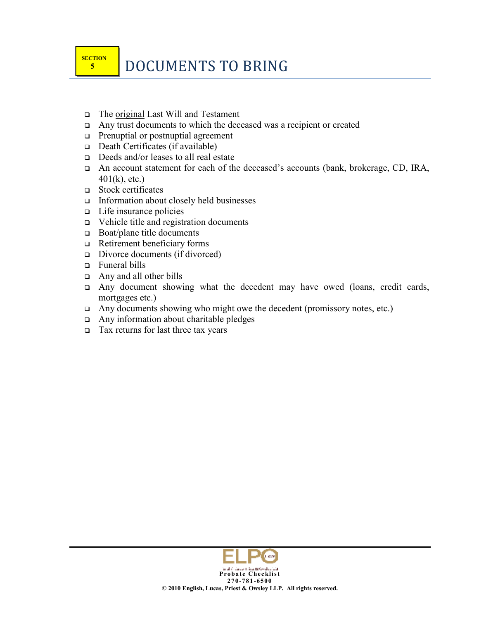- The original Last Will and Testament
- $\Box$  Any trust documents to which the deceased was a recipient or created
- **Prenuptial or postnuptial agreement**
- $\Box$  Death Certificates (if available)
- Deeds and/or leases to all real estate
- An account statement for each of the deceased's accounts (bank, brokerage, CD, IRA,  $401(k)$ , etc.)
- Stock certificates
- Information about closely held businesses
- $\Box$  Life insurance policies
- Vehicle title and registration documents
- $\Box$  Boat/plane title documents
- $\Box$  Retirement beneficiary forms
- $\Box$  Divorce documents (if divorced)
- Funeral bills
- Any and all other bills
- $\Box$  Any document showing what the decedent may have owed (loans, credit cards, mortgages etc.)
- $\Box$  Any documents showing who might owe the decedent (promissory notes, etc.)
- $\Box$  Any information about charitable pledges
- $\Box$  Tax returns for last three tax years